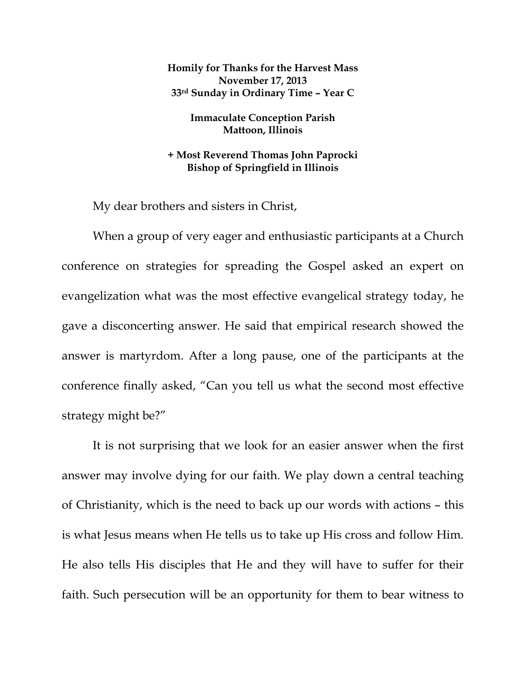**Homily for Thanks for the Harvest Mass November 17, 2013 33rd Sunday in Ordinary Time – Year C** 

> **Immaculate Conception Parish Mattoon, Illinois**

**+ Most Reverend Thomas John Paprocki Bishop of Springfield in Illinois** 

My dear brothers and sisters in Christ,

When a group of very eager and enthusiastic participants at a Church conference on strategies for spreading the Gospel asked an expert on evangelization what was the most effective evangelical strategy today, he gave a disconcerting answer. He said that empirical research showed the answer is martyrdom. After a long pause, one of the participants at the conference finally asked, "Can you tell us what the second most effective strategy might be?"

It is not surprising that we look for an easier answer when the first answer may involve dying for our faith. We play down a central teaching of Christianity, which is the need to back up our words with actions – this is what Jesus means when He tells us to take up His cross and follow Him. He also tells His disciples that He and they will have to suffer for their faith. Such persecution will be an opportunity for them to bear witness to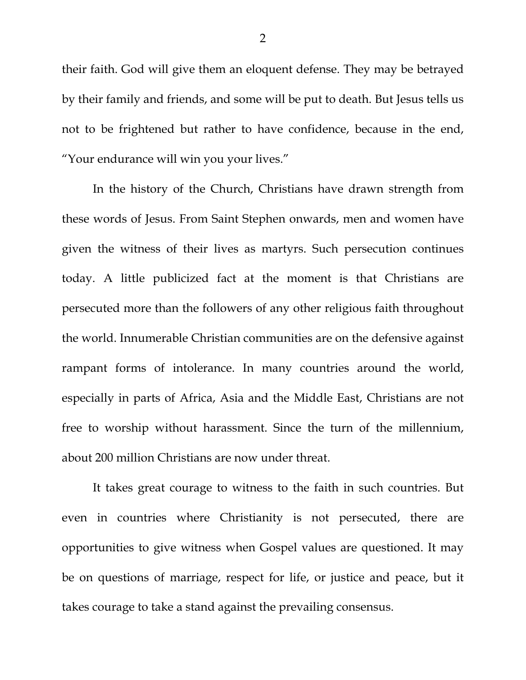their faith. God will give them an eloquent defense. They may be betrayed by their family and friends, and some will be put to death. But Jesus tells us not to be frightened but rather to have confidence, because in the end, "Your endurance will win you your lives."

In the history of the Church, Christians have drawn strength from these words of Jesus. From Saint Stephen onwards, men and women have given the witness of their lives as martyrs. Such persecution continues today. A little publicized fact at the moment is that Christians are persecuted more than the followers of any other religious faith throughout the world. Innumerable Christian communities are on the defensive against rampant forms of intolerance. In many countries around the world, especially in parts of Africa, Asia and the Middle East, Christians are not free to worship without harassment. Since the turn of the millennium, about 200 million Christians are now under threat.

It takes great courage to witness to the faith in such countries. But even in countries where Christianity is not persecuted, there are opportunities to give witness when Gospel values are questioned. It may be on questions of marriage, respect for life, or justice and peace, but it takes courage to take a stand against the prevailing consensus.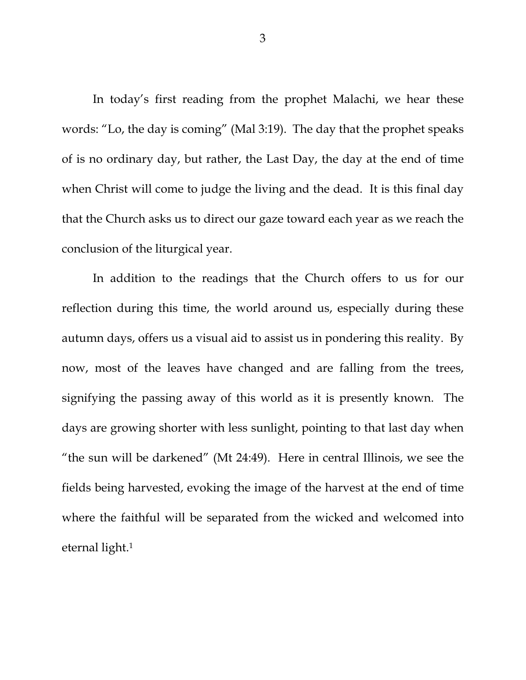In today's first reading from the prophet Malachi, we hear these words: "Lo, the day is coming" (Mal 3:19). The day that the prophet speaks of is no ordinary day, but rather, the Last Day, the day at the end of time when Christ will come to judge the living and the dead. It is this final day that the Church asks us to direct our gaze toward each year as we reach the conclusion of the liturgical year.

 In addition to the readings that the Church offers to us for our reflection during this time, the world around us, especially during these autumn days, offers us a visual aid to assist us in pondering this reality. By now, most of the leaves have changed and are falling from the trees, signifying the passing away of this world as it is presently known. The days are growing shorter with less sunlight, pointing to that last day when "the sun will be darkened" (Mt 24:49). Here in central Illinois, we see the fields being harvested, evoking the image of the harvest at the end of time where the faithful will be separated from the wicked and welcomed into eternal light.1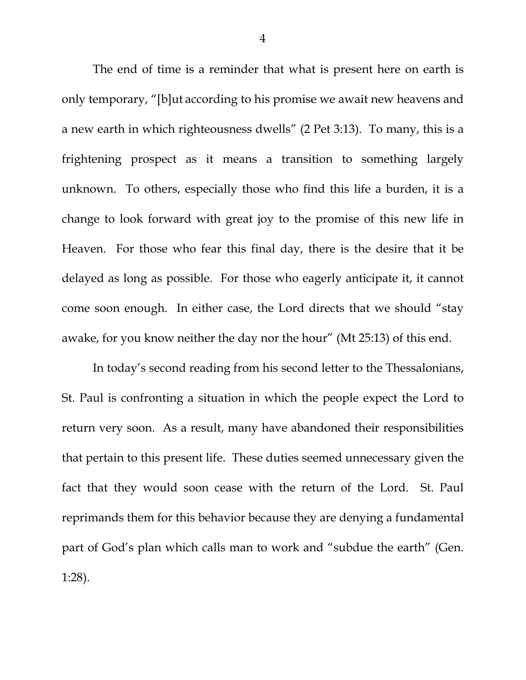The end of time is a reminder that what is present here on earth is only temporary, "[b]ut according to his promise we await new heavens and a new earth in which righteousness dwells" (2 Pet 3:13). To many, this is a frightening prospect as it means a transition to something largely unknown. To others, especially those who find this life a burden, it is a change to look forward with great joy to the promise of this new life in Heaven. For those who fear this final day, there is the desire that it be delayed as long as possible. For those who eagerly anticipate it, it cannot come soon enough. In either case, the Lord directs that we should "stay awake, for you know neither the day nor the hour" (Mt 25:13) of this end.

 In today's second reading from his second letter to the Thessalonians, St. Paul is confronting a situation in which the people expect the Lord to return very soon. As a result, many have abandoned their responsibilities that pertain to this present life. These duties seemed unnecessary given the fact that they would soon cease with the return of the Lord. St. Paul reprimands them for this behavior because they are denying a fundamental part of God's plan which calls man to work and "subdue the earth" (Gen. 1:28).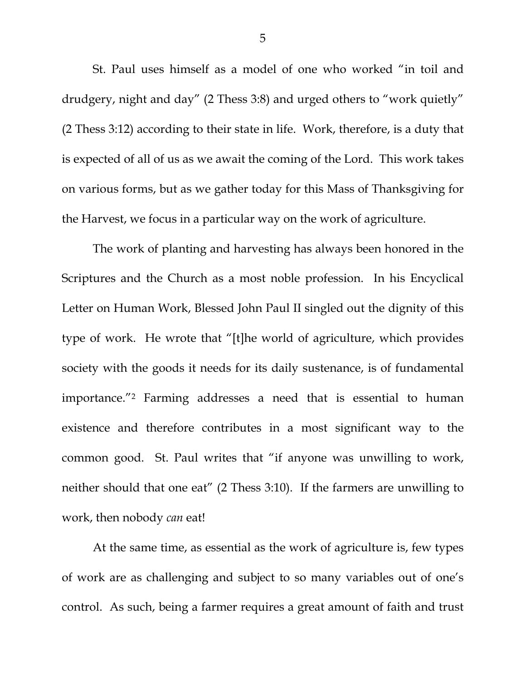St. Paul uses himself as a model of one who worked "in toil and drudgery, night and day" (2 Thess 3:8) and urged others to "work quietly" (2 Thess 3:12) according to their state in life. Work, therefore, is a duty that is expected of all of us as we await the coming of the Lord. This work takes on various forms, but as we gather today for this Mass of Thanksgiving for the Harvest, we focus in a particular way on the work of agriculture.

 The work of planting and harvesting has always been honored in the Scriptures and the Church as a most noble profession. In his Encyclical Letter on Human Work, Blessed John Paul II singled out the dignity of this type of work. He wrote that "[t]he world of agriculture, which provides society with the goods it needs for its daily sustenance, is of fundamental importance."2 Farming addresses a need that is essential to human existence and therefore contributes in a most significant way to the common good. St. Paul writes that "if anyone was unwilling to work, neither should that one eat" (2 Thess 3:10). If the farmers are unwilling to work, then nobody *can* eat!

 At the same time, as essential as the work of agriculture is, few types of work are as challenging and subject to so many variables out of one's control. As such, being a farmer requires a great amount of faith and trust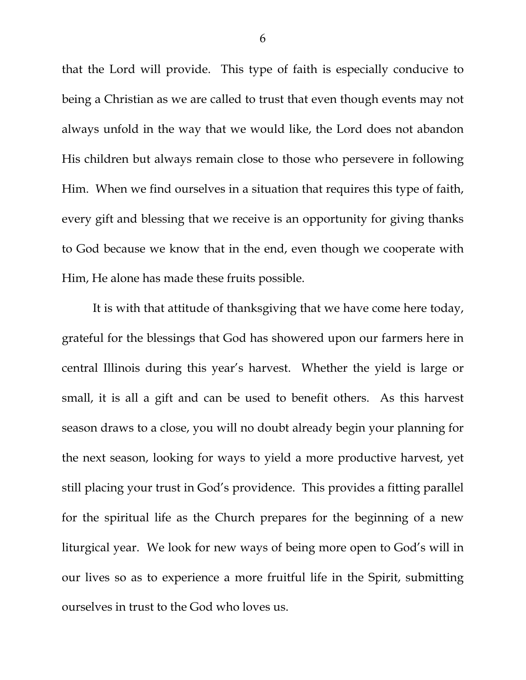that the Lord will provide. This type of faith is especially conducive to being a Christian as we are called to trust that even though events may not always unfold in the way that we would like, the Lord does not abandon His children but always remain close to those who persevere in following Him. When we find ourselves in a situation that requires this type of faith, every gift and blessing that we receive is an opportunity for giving thanks to God because we know that in the end, even though we cooperate with Him, He alone has made these fruits possible.

 It is with that attitude of thanksgiving that we have come here today, grateful for the blessings that God has showered upon our farmers here in central Illinois during this year's harvest. Whether the yield is large or small, it is all a gift and can be used to benefit others. As this harvest season draws to a close, you will no doubt already begin your planning for the next season, looking for ways to yield a more productive harvest, yet still placing your trust in God's providence. This provides a fitting parallel for the spiritual life as the Church prepares for the beginning of a new liturgical year. We look for new ways of being more open to God's will in our lives so as to experience a more fruitful life in the Spirit, submitting ourselves in trust to the God who loves us.